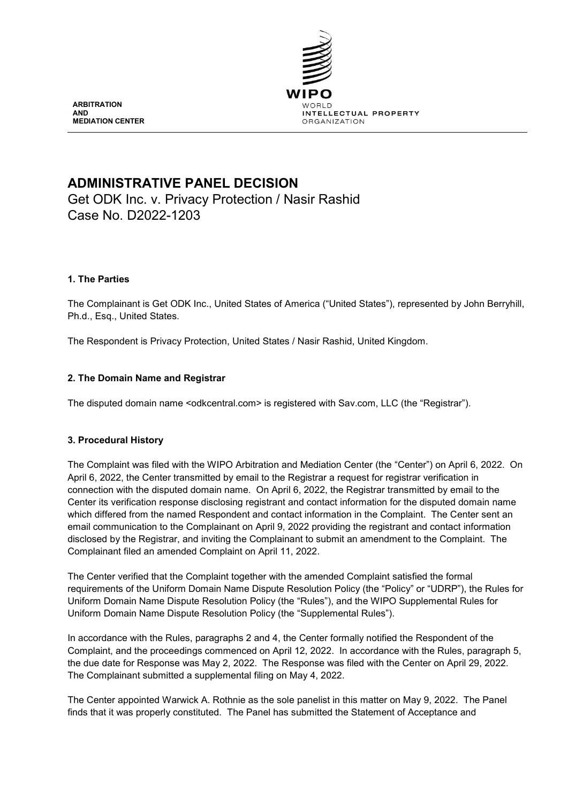

**ARBITRATION AND MEDIATION CENTER**

# **ADMINISTRATIVE PANEL DECISION**

Get ODK Inc. v. Privacy Protection / Nasir Rashid Case No. D2022-1203

# **1. The Parties**

The Complainant is Get ODK Inc., United States of America ("United States"), represented by John Berryhill, Ph.d., Esq., United States.

The Respondent is Privacy Protection, United States / Nasir Rashid, United Kingdom.

# **2. The Domain Name and Registrar**

The disputed domain name <odkcentral.com> is registered with Sav.com, LLC (the "Registrar").

### **3. Procedural History**

The Complaint was filed with the WIPO Arbitration and Mediation Center (the "Center") on April 6, 2022. On April 6, 2022, the Center transmitted by email to the Registrar a request for registrar verification in connection with the disputed domain name. On April 6, 2022, the Registrar transmitted by email to the Center its verification response disclosing registrant and contact information for the disputed domain name which differed from the named Respondent and contact information in the Complaint. The Center sent an email communication to the Complainant on April 9, 2022 providing the registrant and contact information disclosed by the Registrar, and inviting the Complainant to submit an amendment to the Complaint. The Complainant filed an amended Complaint on April 11, 2022.

The Center verified that the Complaint together with the amended Complaint satisfied the formal requirements of the Uniform Domain Name Dispute Resolution Policy (the "Policy" or "UDRP"), the Rules for Uniform Domain Name Dispute Resolution Policy (the "Rules"), and the WIPO Supplemental Rules for Uniform Domain Name Dispute Resolution Policy (the "Supplemental Rules").

In accordance with the Rules, paragraphs 2 and 4, the Center formally notified the Respondent of the Complaint, and the proceedings commenced on April 12, 2022. In accordance with the Rules, paragraph 5, the due date for Response was May 2, 2022. The Response was filed with the Center on April 29, 2022. The Complainant submitted a supplemental filing on May 4, 2022.

The Center appointed Warwick A. Rothnie as the sole panelist in this matter on May 9, 2022. The Panel finds that it was properly constituted. The Panel has submitted the Statement of Acceptance and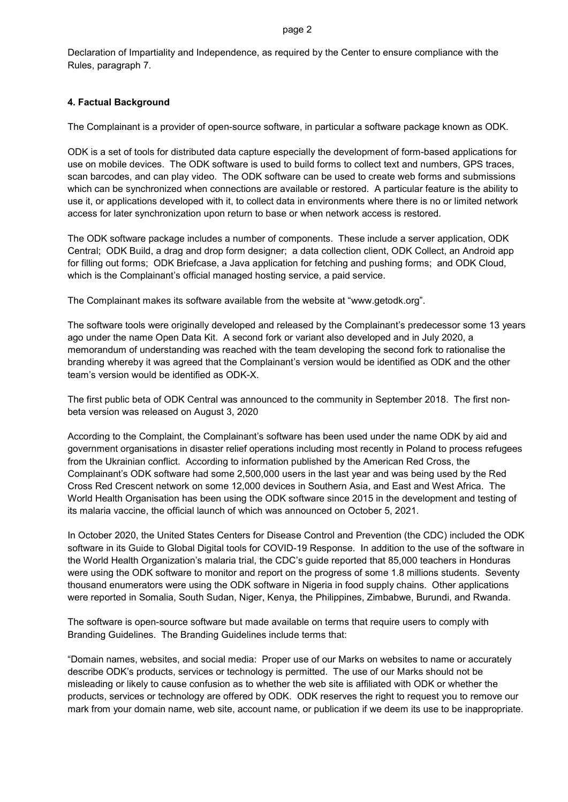Declaration of Impartiality and Independence, as required by the Center to ensure compliance with the Rules, paragraph 7.

# **4. Factual Background**

The Complainant is a provider of open-source software, in particular a software package known as ODK.

ODK is a set of tools for distributed data capture especially the development of form-based applications for use on mobile devices. The ODK software is used to build forms to collect text and numbers, GPS traces, scan barcodes, and can play video. The ODK software can be used to create web forms and submissions which can be synchronized when connections are available or restored. A particular feature is the ability to use it, or applications developed with it, to collect data in environments where there is no or limited network access for later synchronization upon return to base or when network access is restored.

The ODK software package includes a number of components. These include a server application, ODK Central; ODK Build, a drag and drop form designer; a data collection client, ODK Collect, an Android app for filling out forms; ODK Briefcase, a Java application for fetching and pushing forms; and ODK Cloud, which is the Complainant's official managed hosting service, a paid service.

The Complainant makes its software available from the website at "www.getodk.org".

The software tools were originally developed and released by the Complainant's predecessor some 13 years ago under the name Open Data Kit. A second fork or variant also developed and in July 2020, a memorandum of understanding was reached with the team developing the second fork to rationalise the branding whereby it was agreed that the Complainant's version would be identified as ODK and the other team's version would be identified as ODK-X.

The first public beta of ODK Central was announced to the community in September 2018. The first nonbeta version was released on August 3, 2020

According to the Complaint, the Complainant's software has been used under the name ODK by aid and government organisations in disaster relief operations including most recently in Poland to process refugees from the Ukrainian conflict. According to information published by the American Red Cross, the Complainant's ODK software had some 2,500,000 users in the last year and was being used by the Red Cross Red Crescent network on some 12,000 devices in Southern Asia, and East and West Africa. The World Health Organisation has been using the ODK software since 2015 in the development and testing of its malaria vaccine, the official launch of which was announced on October 5, 2021.

In October 2020, the United States Centers for Disease Control and Prevention (the CDC) included the ODK software in its Guide to Global Digital tools for COVID-19 Response. In addition to the use of the software in the World Health Organization's malaria trial, the CDC's guide reported that 85,000 teachers in Honduras were using the ODK software to monitor and report on the progress of some 1.8 millions students. Seventy thousand enumerators were using the ODK software in Nigeria in food supply chains. Other applications were reported in Somalia, South Sudan, Niger, Kenya, the Philippines, Zimbabwe, Burundi, and Rwanda.

The software is open-source software but made available on terms that require users to comply with Branding Guidelines. The Branding Guidelines include terms that:

"Domain names, websites, and social media: Proper use of our Marks on websites to name or accurately describe ODK's products, services or technology is permitted. The use of our Marks should not be misleading or likely to cause confusion as to whether the web site is affiliated with ODK or whether the products, services or technology are offered by ODK. ODK reserves the right to request you to remove our mark from your domain name, web site, account name, or publication if we deem its use to be inappropriate.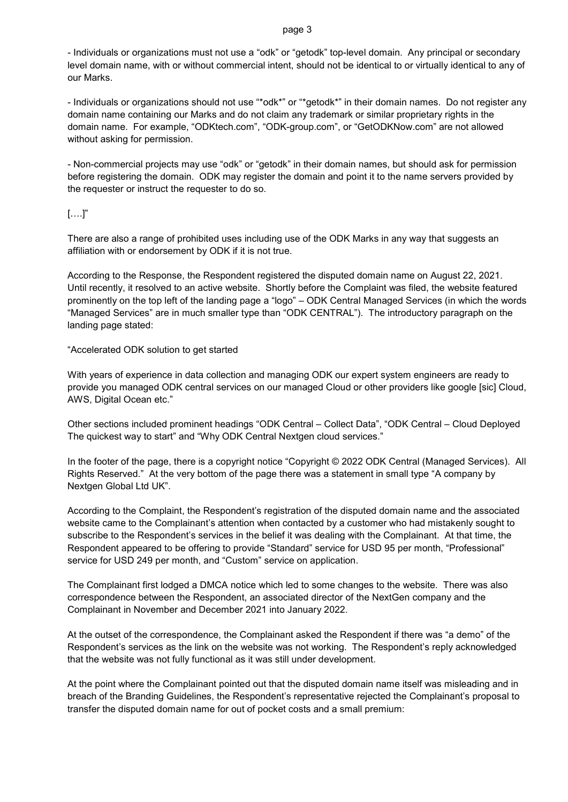- Individuals or organizations must not use a "odk" or "getodk" top-level domain. Any principal or secondary level domain name, with or without commercial intent, should not be identical to or virtually identical to any of our Marks.

- Individuals or organizations should not use "\*odk\*" or "\*getodk\*" in their domain names. Do not register any domain name containing our Marks and do not claim any trademark or similar proprietary rights in the domain name. For example, "ODKtech.com", "ODK-group.com", or "GetODKNow.com" are not allowed without asking for permission.

- Non-commercial projects may use "odk" or "getodk" in their domain names, but should ask for permission before registering the domain. ODK may register the domain and point it to the name servers provided by the requester or instruct the requester to do so.

# $[....]$ "

There are also a range of prohibited uses including use of the ODK Marks in any way that suggests an affiliation with or endorsement by ODK if it is not true.

According to the Response, the Respondent registered the disputed domain name on August 22, 2021. Until recently, it resolved to an active website. Shortly before the Complaint was filed, the website featured prominently on the top left of the landing page a "logo" – ODK Central Managed Services (in which the words "Managed Services" are in much smaller type than "ODK CENTRAL"). The introductory paragraph on the landing page stated:

### "Accelerated ODK solution to get started

With years of experience in data collection and managing ODK our expert system engineers are ready to provide you managed ODK central services on our managed Cloud or other providers like google [sic] Cloud, AWS, Digital Ocean etc."

Other sections included prominent headings "ODK Central – Collect Data", "ODK Central – Cloud Deployed The quickest way to start" and "Why ODK Central Nextgen cloud services."

In the footer of the page, there is a copyright notice "Copyright © 2022 ODK Central (Managed Services). All Rights Reserved." At the very bottom of the page there was a statement in small type "A company by Nextgen Global Ltd UK".

According to the Complaint, the Respondent's registration of the disputed domain name and the associated website came to the Complainant's attention when contacted by a customer who had mistakenly sought to subscribe to the Respondent's services in the belief it was dealing with the Complainant. At that time, the Respondent appeared to be offering to provide "Standard" service for USD 95 per month, "Professional" service for USD 249 per month, and "Custom" service on application.

The Complainant first lodged a DMCA notice which led to some changes to the website. There was also correspondence between the Respondent, an associated director of the NextGen company and the Complainant in November and December 2021 into January 2022.

At the outset of the correspondence, the Complainant asked the Respondent if there was "a demo" of the Respondent's services as the link on the website was not working. The Respondent's reply acknowledged that the website was not fully functional as it was still under development.

At the point where the Complainant pointed out that the disputed domain name itself was misleading and in breach of the Branding Guidelines, the Respondent's representative rejected the Complainant's proposal to transfer the disputed domain name for out of pocket costs and a small premium: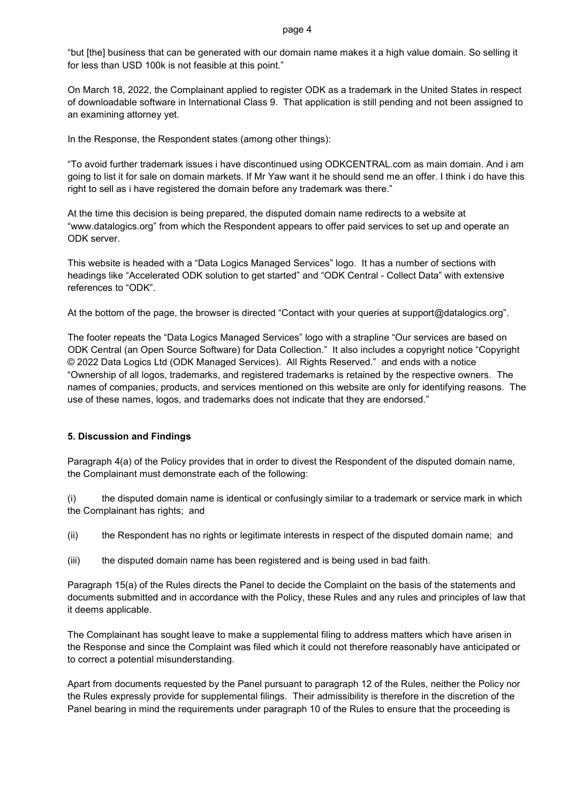"but [the] business that can be generated with our domain name makes it a high value domain. So selling it for less than USD 100k is not feasible at this point."

On March 18, 2022, the Complainant applied to register ODK as a trademark in the United States in respect of downloadable software in International Class 9. That application is still pending and not been assigned to an examining attorney yet.

In the Response, the Respondent states (among other things):

"To avoid further trademark issues i have discontinued using ODKCENTRAL.com as main domain. And i am going to list it for sale on domain markets. If Mr Yaw want it he should send me an offer. I think i do have this right to sell as i have registered the domain before any trademark was there."

At the time this decision is being prepared, the disputed domain name redirects to a website at "www.datalogics.org" from which the Respondent appears to offer paid services to set up and operate an ODK server.

This website is headed with a "Data Logics Managed Services" logo. It has a number of sections with headings like "Accelerated ODK solution to get started" and "ODK Central - Collect Data" with extensive references to "ODK".

At the bottom of the page, the browser is directed "Contact with your queries at support@datalogics.org".

The footer repeats the "Data Logics Managed Services" logo with a strapline "Our services are based on ODK Central (an Open Source Software) for Data Collection." It also includes a copyright notice "Copyright © 2022 Data Logics Ltd (ODK Managed Services). All Rights Reserved." and ends with a notice "Ownership of all logos, trademarks, and registered trademarks is retained by the respective owners. The names of companies, products, and services mentioned on this website are only for identifying reasons. The use of these names, logos, and trademarks does not indicate that they are endorsed."

### **5. Discussion and Findings**

Paragraph 4(a) of the Policy provides that in order to divest the Respondent of the disputed domain name, the Complainant must demonstrate each of the following:

(i) the disputed domain name is identical or confusingly similar to a trademark or service mark in which the Complainant has rights; and

- (ii) the Respondent has no rights or legitimate interests in respect of the disputed domain name; and
- (iii) the disputed domain name has been registered and is being used in bad faith.

Paragraph 15(a) of the Rules directs the Panel to decide the Complaint on the basis of the statements and documents submitted and in accordance with the Policy, these Rules and any rules and principles of law that it deems applicable.

The Complainant has sought leave to make a supplemental filing to address matters which have arisen in the Response and since the Complaint was filed which it could not therefore reasonably have anticipated or to correct a potential misunderstanding.

Apart from documents requested by the Panel pursuant to paragraph 12 of the Rules, neither the Policy nor the Rules expressly provide for supplemental filings. Their admissibility is therefore in the discretion of the Panel bearing in mind the requirements under paragraph 10 of the Rules to ensure that the proceeding is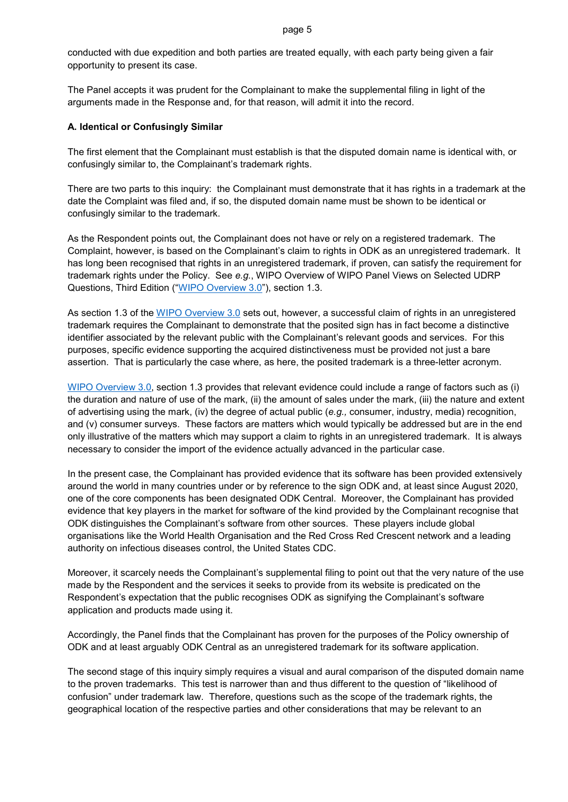conducted with due expedition and both parties are treated equally, with each party being given a fair opportunity to present its case.

The Panel accepts it was prudent for the Complainant to make the supplemental filing in light of the arguments made in the Response and, for that reason, will admit it into the record.

### **A. Identical or Confusingly Similar**

The first element that the Complainant must establish is that the disputed domain name is identical with, or confusingly similar to, the Complainant's trademark rights.

There are two parts to this inquiry: the Complainant must demonstrate that it has rights in a trademark at the date the Complaint was filed and, if so, the disputed domain name must be shown to be identical or confusingly similar to the trademark.

As the Respondent points out, the Complainant does not have or rely on a registered trademark. The Complaint, however, is based on the Complainant's claim to rights in ODK as an unregistered trademark. It has long been recognised that rights in an unregistered trademark, if proven, can satisfy the requirement for trademark rights under the Policy. See *e.g.*, WIPO Overview of WIPO Panel Views on Selected UDRP Questions, Third Edition (["WIPO Overview 3.0"](https://www.wipo.int/amc/en/domains/search/overview3.0/)), section 1.3.

As section 1.3 of the [WIPO Overview 3.0](https://www.wipo.int/amc/en/domains/search/overview3.0/) sets out, however, a successful claim of rights in an unregistered trademark requires the Complainant to demonstrate that the posited sign has in fact become a distinctive identifier associated by the relevant public with the Complainant's relevant goods and services. For this purposes, specific evidence supporting the acquired distinctiveness must be provided not just a bare assertion. That is particularly the case where, as here, the posited trademark is a three-letter acronym.

[WIPO Overview 3.0,](https://www.wipo.int/amc/en/domains/search/overview3.0/) section 1.3 provides that relevant evidence could include a range of factors such as (i) the duration and nature of use of the mark, (ii) the amount of sales under the mark, (iii) the nature and extent of advertising using the mark, (iv) the degree of actual public (*e.g.,* consumer, industry, media) recognition, and (v) consumer surveys. These factors are matters which would typically be addressed but are in the end only illustrative of the matters which may support a claim to rights in an unregistered trademark. It is always necessary to consider the import of the evidence actually advanced in the particular case.

In the present case, the Complainant has provided evidence that its software has been provided extensively around the world in many countries under or by reference to the sign ODK and, at least since August 2020, one of the core components has been designated ODK Central. Moreover, the Complainant has provided evidence that key players in the market for software of the kind provided by the Complainant recognise that ODK distinguishes the Complainant's software from other sources. These players include global organisations like the World Health Organisation and the Red Cross Red Crescent network and a leading authority on infectious diseases control, the United States CDC.

Moreover, it scarcely needs the Complainant's supplemental filing to point out that the very nature of the use made by the Respondent and the services it seeks to provide from its website is predicated on the Respondent's expectation that the public recognises ODK as signifying the Complainant's software application and products made using it.

Accordingly, the Panel finds that the Complainant has proven for the purposes of the Policy ownership of ODK and at least arguably ODK Central as an unregistered trademark for its software application.

The second stage of this inquiry simply requires a visual and aural comparison of the disputed domain name to the proven trademarks. This test is narrower than and thus different to the question of "likelihood of confusion" under trademark law. Therefore, questions such as the scope of the trademark rights, the geographical location of the respective parties and other considerations that may be relevant to an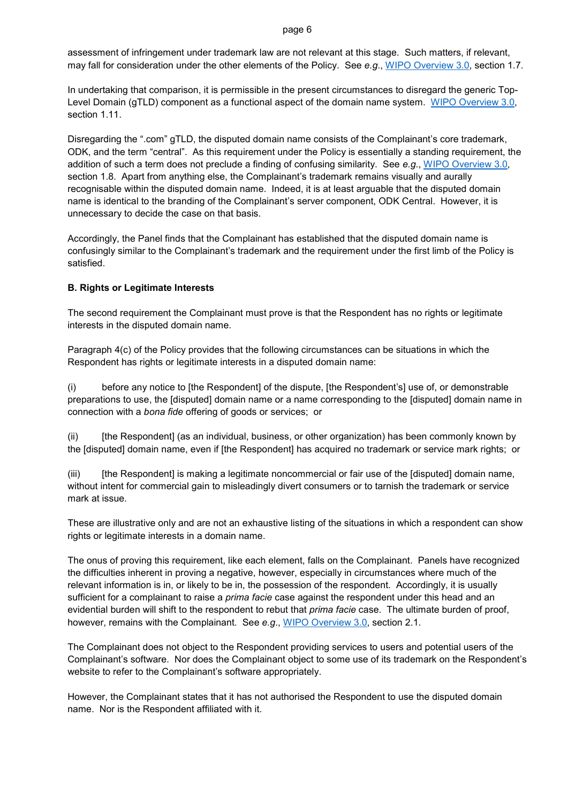assessment of infringement under trademark law are not relevant at this stage. Such matters, if relevant, may fall for consideration under the other elements of the Policy. See *e.g*., [WIPO Overview 3.0,](https://www.wipo.int/amc/en/domains/search/overview3.0/) section 1.7.

In undertaking that comparison, it is permissible in the present circumstances to disregard the generic Top-Level Domain (gTLD) component as a functional aspect of the domain name system. [WIPO Overview 3.0,](https://www.wipo.int/amc/en/domains/search/overview3.0/) section 1.11.

Disregarding the ".com" gTLD, the disputed domain name consists of the Complainant's core trademark, ODK, and the term "central". As this requirement under the Policy is essentially a standing requirement, the addition of such a term does not preclude a finding of confusing similarity. See *e.g.*, [WIPO Overview](https://www.wipo.int/amc/en/domains/search/overview3.0/) 3.0, section 1.8. Apart from anything else, the Complainant's trademark remains visually and aurally recognisable within the disputed domain name. Indeed, it is at least arguable that the disputed domain name is identical to the branding of the Complainant's server component, ODK Central. However, it is unnecessary to decide the case on that basis.

Accordingly, the Panel finds that the Complainant has established that the disputed domain name is confusingly similar to the Complainant's trademark and the requirement under the first limb of the Policy is satisfied.

# **B. Rights or Legitimate Interests**

The second requirement the Complainant must prove is that the Respondent has no rights or legitimate interests in the disputed domain name.

Paragraph 4(c) of the Policy provides that the following circumstances can be situations in which the Respondent has rights or legitimate interests in a disputed domain name:

(i) before any notice to [the Respondent] of the dispute, [the Respondent's] use of, or demonstrable preparations to use, the [disputed] domain name or a name corresponding to the [disputed] domain name in connection with a *bona fide* offering of goods or services; or

(ii) [the Respondent] (as an individual, business, or other organization) has been commonly known by the [disputed] domain name, even if [the Respondent] has acquired no trademark or service mark rights; or

(iii) [the Respondent] is making a legitimate noncommercial or fair use of the [disputed] domain name, without intent for commercial gain to misleadingly divert consumers or to tarnish the trademark or service mark at issue.

These are illustrative only and are not an exhaustive listing of the situations in which a respondent can show rights or legitimate interests in a domain name.

The onus of proving this requirement, like each element, falls on the Complainant. Panels have recognized the difficulties inherent in proving a negative, however, especially in circumstances where much of the relevant information is in, or likely to be in, the possession of the respondent. Accordingly, it is usually sufficient for a complainant to raise a *prima facie* case against the respondent under this head and an evidential burden will shift to the respondent to rebut that *prima facie* case. The ultimate burden of proof, however, remains with the Complainant. See *e.g*., [WIPO Overview 3.0,](https://www.wipo.int/amc/en/domains/search/overview3.0/) section 2.1.

The Complainant does not object to the Respondent providing services to users and potential users of the Complainant's software. Nor does the Complainant object to some use of its trademark on the Respondent's website to refer to the Complainant's software appropriately.

However, the Complainant states that it has not authorised the Respondent to use the disputed domain name. Nor is the Respondent affiliated with it.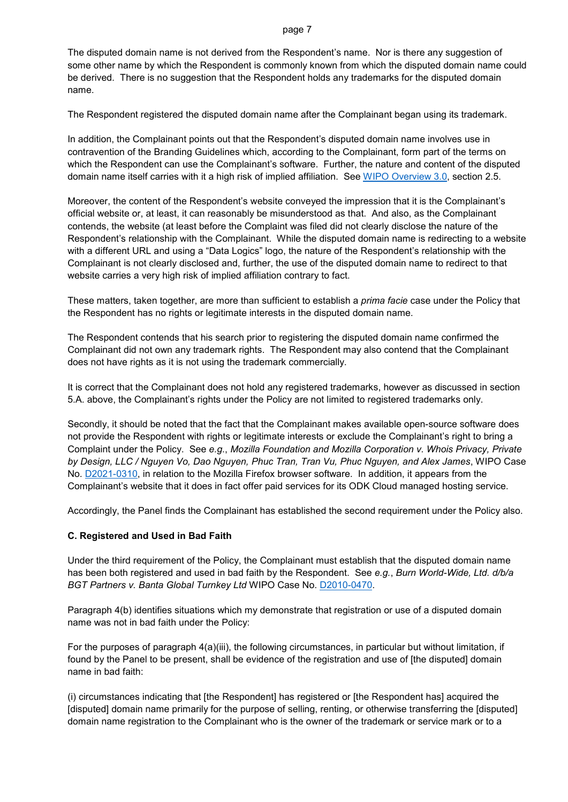The disputed domain name is not derived from the Respondent's name. Nor is there any suggestion of some other name by which the Respondent is commonly known from which the disputed domain name could be derived. There is no suggestion that the Respondent holds any trademarks for the disputed domain name.

The Respondent registered the disputed domain name after the Complainant began using its trademark.

In addition, the Complainant points out that the Respondent's disputed domain name involves use in contravention of the Branding Guidelines which, according to the Complainant, form part of the terms on which the Respondent can use the Complainant's software. Further, the nature and content of the disputed domain name itself carries with it a high risk of implied affiliation. See [WIPO Overview 3.0,](https://www.wipo.int/amc/en/domains/search/overview3.0/) section 2.5.

Moreover, the content of the Respondent's website conveyed the impression that it is the Complainant's official website or, at least, it can reasonably be misunderstood as that. And also, as the Complainant contends, the website (at least before the Complaint was filed did not clearly disclose the nature of the Respondent's relationship with the Complainant. While the disputed domain name is redirecting to a website with a different URL and using a "Data Logics" logo, the nature of the Respondent's relationship with the Complainant is not clearly disclosed and, further, the use of the disputed domain name to redirect to that website carries a very high risk of implied affiliation contrary to fact.

These matters, taken together, are more than sufficient to establish a *prima facie* case under the Policy that the Respondent has no rights or legitimate interests in the disputed domain name.

The Respondent contends that his search prior to registering the disputed domain name confirmed the Complainant did not own any trademark rights. The Respondent may also contend that the Complainant does not have rights as it is not using the trademark commercially.

It is correct that the Complainant does not hold any registered trademarks, however as discussed in section 5.A. above, the Complainant's rights under the Policy are not limited to registered trademarks only.

Secondly, it should be noted that the fact that the Complainant makes available open-source software does not provide the Respondent with rights or legitimate interests or exclude the Complainant's right to bring a Complaint under the Policy. See *e.g.*, *Mozilla Foundation and Mozilla Corporation v. Whois Privacy, Private by Design, LLC / Nguyen Vo, Dao Nguyen, Phuc Tran, Tran Vu, Phuc Nguyen, and Alex James*, WIPO Case No. [D2021-0310,](https://www.wipo.int/amc/en/domains/search/text.jsp?case=D2021-0310) in relation to the Mozilla Firefox browser software. In addition, it appears from the Complainant's website that it does in fact offer paid services for its ODK Cloud managed hosting service.

Accordingly, the Panel finds the Complainant has established the second requirement under the Policy also.

### **C. Registered and Used in Bad Faith**

Under the third requirement of the Policy, the Complainant must establish that the disputed domain name has been both registered and used in bad faith by the Respondent. See *e.g.*, *Burn World-Wide, Ltd. d/b/a BGT Partners v. Banta Global Turnkey Ltd* WIPO Case No. [D2010-0470.](https://www.wipo.int/amc/en/domains/decisions/html/2010/d2010-0470.html)

Paragraph 4(b) identifies situations which my demonstrate that registration or use of a disputed domain name was not in bad faith under the Policy:

For the purposes of paragraph 4(a)(iii), the following circumstances, in particular but without limitation, if found by the Panel to be present, shall be evidence of the registration and use of [the disputed] domain name in bad faith:

(i) circumstances indicating that [the Respondent] has registered or [the Respondent has] acquired the [disputed] domain name primarily for the purpose of selling, renting, or otherwise transferring the [disputed] domain name registration to the Complainant who is the owner of the trademark or service mark or to a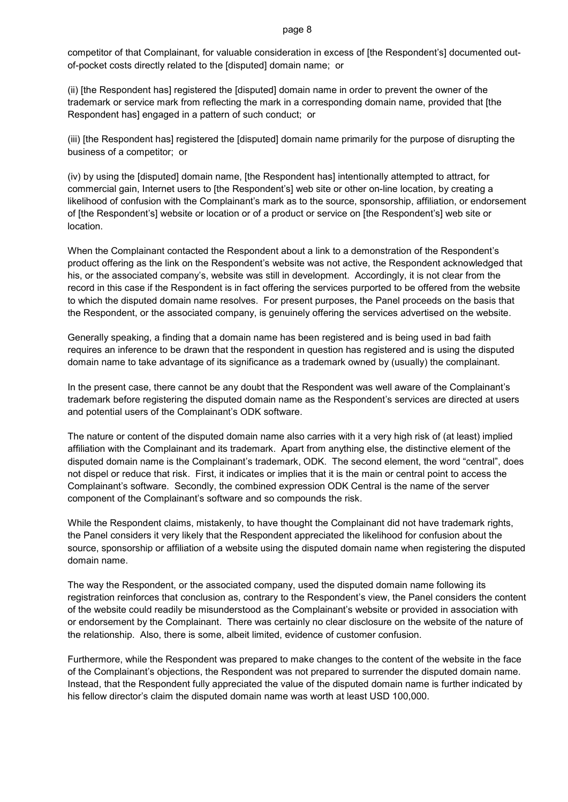competitor of that Complainant, for valuable consideration in excess of [the Respondent's] documented outof-pocket costs directly related to the [disputed] domain name; or

(ii) [the Respondent has] registered the [disputed] domain name in order to prevent the owner of the trademark or service mark from reflecting the mark in a corresponding domain name, provided that [the Respondent has] engaged in a pattern of such conduct; or

(iii) [the Respondent has] registered the [disputed] domain name primarily for the purpose of disrupting the business of a competitor; or

(iv) by using the [disputed] domain name, [the Respondent has] intentionally attempted to attract, for commercial gain, Internet users to [the Respondent's] web site or other on-line location, by creating a likelihood of confusion with the Complainant's mark as to the source, sponsorship, affiliation, or endorsement of [the Respondent's] website or location or of a product or service on [the Respondent's] web site or location.

When the Complainant contacted the Respondent about a link to a demonstration of the Respondent's product offering as the link on the Respondent's website was not active, the Respondent acknowledged that his, or the associated company's, website was still in development. Accordingly, it is not clear from the record in this case if the Respondent is in fact offering the services purported to be offered from the website to which the disputed domain name resolves. For present purposes, the Panel proceeds on the basis that the Respondent, or the associated company, is genuinely offering the services advertised on the website.

Generally speaking, a finding that a domain name has been registered and is being used in bad faith requires an inference to be drawn that the respondent in question has registered and is using the disputed domain name to take advantage of its significance as a trademark owned by (usually) the complainant.

In the present case, there cannot be any doubt that the Respondent was well aware of the Complainant's trademark before registering the disputed domain name as the Respondent's services are directed at users and potential users of the Complainant's ODK software.

The nature or content of the disputed domain name also carries with it a very high risk of (at least) implied affiliation with the Complainant and its trademark. Apart from anything else, the distinctive element of the disputed domain name is the Complainant's trademark, ODK. The second element, the word "central", does not dispel or reduce that risk. First, it indicates or implies that it is the main or central point to access the Complainant's software. Secondly, the combined expression ODK Central is the name of the server component of the Complainant's software and so compounds the risk.

While the Respondent claims, mistakenly, to have thought the Complainant did not have trademark rights, the Panel considers it very likely that the Respondent appreciated the likelihood for confusion about the source, sponsorship or affiliation of a website using the disputed domain name when registering the disputed domain name.

The way the Respondent, or the associated company, used the disputed domain name following its registration reinforces that conclusion as, contrary to the Respondent's view, the Panel considers the content of the website could readily be misunderstood as the Complainant's website or provided in association with or endorsement by the Complainant. There was certainly no clear disclosure on the website of the nature of the relationship. Also, there is some, albeit limited, evidence of customer confusion.

Furthermore, while the Respondent was prepared to make changes to the content of the website in the face of the Complainant's objections, the Respondent was not prepared to surrender the disputed domain name. Instead, that the Respondent fully appreciated the value of the disputed domain name is further indicated by his fellow director's claim the disputed domain name was worth at least USD 100,000.